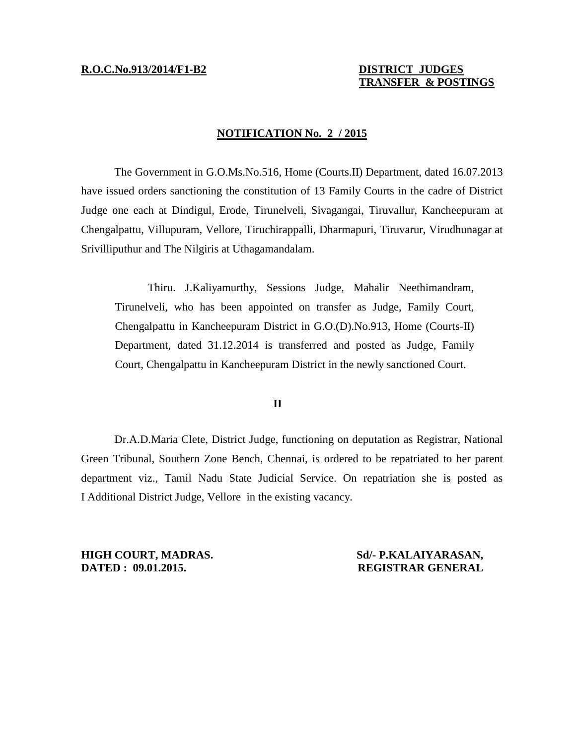# **TRANSFER & POSTINGS**

### **NOTIFICATION No. 2 / 2015**

The Government in G.O.Ms.No.516, Home (Courts.II) Department, dated 16.07.2013 have issued orders sanctioning the constitution of 13 Family Courts in the cadre of District Judge one each at Dindigul, Erode, Tirunelveli, Sivagangai, Tiruvallur, Kancheepuram at Chengalpattu, Villupuram, Vellore, Tiruchirappalli, Dharmapuri, Tiruvarur, Virudhunagar at Srivilliputhur and The Nilgiris at Uthagamandalam.

Thiru. J.Kaliyamurthy, Sessions Judge, Mahalir Neethimandram, Tirunelveli, who has been appointed on transfer as Judge, Family Court, Chengalpattu in Kancheepuram District in G.O.(D).No.913, Home (Courts-II) Department, dated 31.12.2014 is transferred and posted as Judge, Family Court, Chengalpattu in Kancheepuram District in the newly sanctioned Court.

## **II**

Dr.A.D.Maria Clete, District Judge, functioning on deputation as Registrar, National Green Tribunal, Southern Zone Bench, Chennai, is ordered to be repatriated to her parent department viz., Tamil Nadu State Judicial Service. On repatriation she is posted as I Additional District Judge, Vellore in the existing vacancy.

**HIGH COURT, MADRAS. Sd/- P.KALAIYARASAN, DATED : 09.01.2015. REGISTRAR GENERAL**